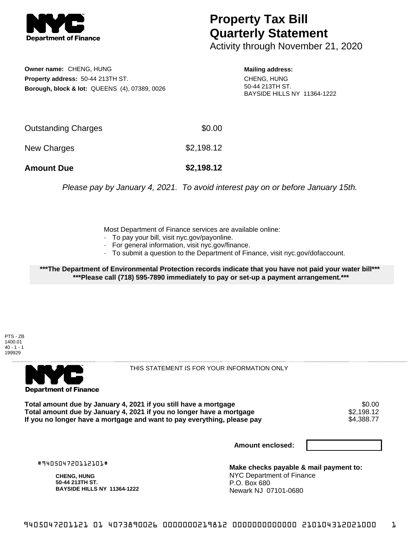

## **Property Tax Bill Quarterly Statement**

Activity through November 21, 2020

**Owner name:** CHENG, HUNG **Property address:** 50-44 213TH ST. **Borough, block & lot:** QUEENS (4), 07389, 0026

**Mailing address:** CHENG, HUNG 50-44 213TH ST. BAYSIDE HILLS NY 11364-1222

| <b>Amount Due</b>   | \$2,198.12 |
|---------------------|------------|
| New Charges         | \$2,198.12 |
| Outstanding Charges | \$0.00     |

Please pay by January 4, 2021. To avoid interest pay on or before January 15th.

Most Department of Finance services are available online:

- · To pay your bill, visit nyc.gov/payonline.
- For general information, visit nyc.gov/finance.
- · To submit a question to the Department of Finance, visit nyc.gov/dofaccount.

**\*\*\*The Department of Environmental Protection records indicate that you have not paid your water bill\*\*\* \*\*\*Please call (718) 595-7890 immediately to pay or set-up a payment arrangement.\*\*\***

PTS - ZB 1400.01  $40 - 1 - 1$ 199929



THIS STATEMENT IS FOR YOUR INFORMATION ONLY

Total amount due by January 4, 2021 if you still have a mortgage \$0.00<br>Total amount due by January 4, 2021 if you no longer have a mortgage \$2.198.12 **Total amount due by January 4, 2021 if you no longer have a mortgage**  $$2,198.12$$ **<br>If you no longer have a mortgage and want to pay everything, please pay**  $$4,388.77$$ If you no longer have a mortgage and want to pay everything, please pay

**Amount enclosed:**

#940504720112101#

**CHENG, HUNG 50-44 213TH ST. BAYSIDE HILLS NY 11364-1222**

**Make checks payable & mail payment to:** NYC Department of Finance P.O. Box 680 Newark NJ 07101-0680